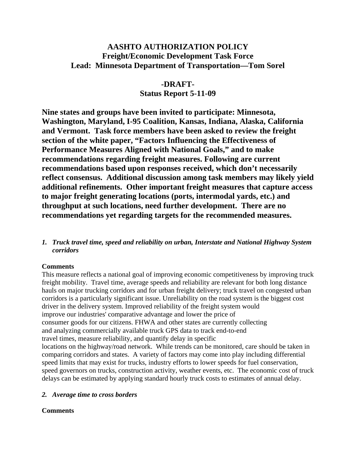# **AASHTO AUTHORIZATION POLICY Freight/Economic Development Task Force Lead: Minnesota Department of Transportation—Tom Sorel**

# **-DRAFT-Status Report 5-11-09**

**Nine states and groups have been invited to participate: Minnesota, Washington, Maryland, I-95 Coalition, Kansas, Indiana, Alaska, California and Vermont. Task force members have been asked to review the freight section of the white paper, "Factors Influencing the Effectiveness of Performance Measures Aligned with National Goals," and to make recommendations regarding freight measures. Following are current recommendations based upon responses received, which don't necessarily reflect consensus. Additional discussion among task members may likely yield additional refinements. Other important freight measures that capture access to major freight generating locations (ports, intermodal yards, etc.) and throughput at such locations, need further development. There are no recommendations yet regarding targets for the recommended measures.** 

*1. Truck travel time, speed and reliability on urban, Interstate and National Highway System corridors* 

## **Comments**

This measure reflects a national goal of improving economic competitiveness by improving truck freight mobility. Travel time, average speeds and reliability are relevant for both long distance hauls on major trucking corridors and for urban freight delivery; truck travel on congested urban corridors is a particularly significant issue. Unreliability on the road system is the biggest cost driver in the delivery system. Improved reliability of the freight system would improve our industries' comparative advantage and lower the price of consumer goods for our citizens. FHWA and other states are currently collecting and analyzing commercially available truck GPS data to track end-to-end travel times, measure reliability, and quantify delay in specific locations on the highway/road network. While trends can be monitored, care should be taken in comparing corridors and states. A variety of factors may come into play including differential speed limits that may exist for trucks, industry efforts to lower speeds for fuel conservation, speed governors on trucks, construction activity, weather events, etc. The economic cost of truck delays can be estimated by applying standard hourly truck costs to estimates of annual delay.

## *2. Average time to cross borders*

## **Comments**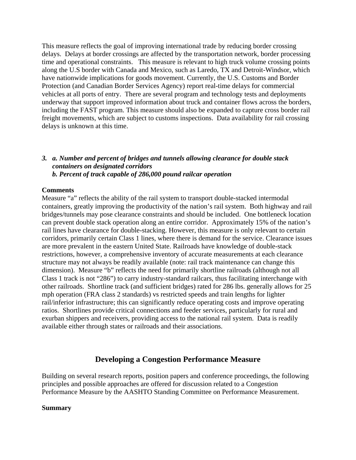This measure reflects the goal of improving international trade by reducing border crossing delays. Delays at border crossings are affected by the transportation network, border processing time and operational constraints. This measure is relevant to high truck volume crossing points along the U.S border with Canada and Mexico, such as Laredo, TX and Detroit-Windsor, which have nationwide implications for goods movement. Currently, the U.S. Customs and Border Protection (and Canadian Border Services Agency) report real-time delays for commercial vehicles at all ports of entry. There are several program and technology tests and deployments underway that support improved information about truck and container flows across the borders, including the FAST program. This measure should also be expanded to capture cross border rail freight movements, which are subject to customs inspections. Data availability for rail crossing delays is unknown at this time.

#### *3. a. Number and percent of bridges and tunnels allowing clearance for double stack containers on designated corridors b. Percent of track capable of 286,000 pound railcar operation*

#### **Comments**

Measure "a" reflects the ability of the rail system to transport double-stacked intermodal containers, greatly improving the productivity of the nation's rail system. Both highway and rail bridges/tunnels may pose clearance constraints and should be included. One bottleneck location can prevent double stack operation along an entire corridor. Approximately 15% of the nation's rail lines have clearance for double-stacking. However, this measure is only relevant to certain corridors, primarily certain Class 1 lines, where there is demand for the service. Clearance issues are more prevalent in the eastern United State. Railroads have knowledge of double-stack restrictions, however, a comprehensive inventory of accurate measurements at each clearance structure may not always be readily available (note: rail track maintenance can change this dimension). Measure "b" reflects the need for primarily shortline railroads (although not all Class 1 track is not "286") to carry industry-standard railcars, thus facilitating interchange with other railroads. Shortline track (and sufficient bridges) rated for 286 lbs. generally allows for 25 mph operation (FRA class 2 standards) vs restricted speeds and train lengths for lighter rail/inferior infrastructure; this can significantly reduce operating costs and improve operating ratios. Shortlines provide critical connections and feeder services, particularly for rural and exurban shippers and receivers, providing access to the national rail system. Data is readily available either through states or railroads and their associations.

## **Developing a Congestion Performance Measure**

Building on several research reports, position papers and conference proceedings, the following principles and possible approaches are offered for discussion related to a Congestion Performance Measure by the AASHTO Standing Committee on Performance Measurement.

#### **Summary**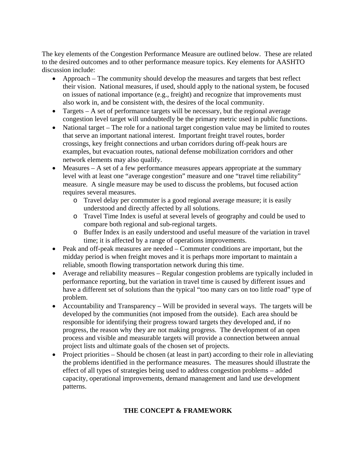The key elements of the Congestion Performance Measure are outlined below. These are related to the desired outcomes and to other performance measure topics. Key elements for AASHTO discussion include:

- Approach The community should develop the measures and targets that best reflect their vision. National measures, if used, should apply to the national system, be focused on issues of national importance (e.g., freight) and recognize that improvements must also work in, and be consistent with, the desires of the local community.
- Targets A set of performance targets will be necessary, but the regional average congestion level target will undoubtedly be the primary metric used in public functions.
- National target The role for a national target congestion value may be limited to routes that serve an important national interest. Important freight travel routes, border crossings, key freight connections and urban corridors during off-peak hours are examples, but evacuation routes, national defense mobilization corridors and other network elements may also qualify.
- Measures A set of a few performance measures appears appropriate at the summary level with at least one "average congestion" measure and one "travel time reliability" measure. A single measure may be used to discuss the problems, but focused action requires several measures.
	- o Travel delay per commuter is a good regional average measure; it is easily understood and directly affected by all solutions.
	- o Travel Time Index is useful at several levels of geography and could be used to compare both regional and sub-regional targets.
	- o Buffer Index is an easily understood and useful measure of the variation in travel time; it is affected by a range of operations improvements.
- Peak and off-peak measures are needed Commuter conditions are important, but the midday period is when freight moves and it is perhaps more important to maintain a reliable, smooth flowing transportation network during this time.
- Average and reliability measures Regular congestion problems are typically included in performance reporting, but the variation in travel time is caused by different issues and have a different set of solutions than the typical "too many cars on too little road" type of problem.
- Accountability and Transparency Will be provided in several ways. The targets will be developed by the communities (not imposed from the outside). Each area should be responsible for identifying their progress toward targets they developed and, if no progress, the reason why they are not making progress. The development of an open process and visible and measurable targets will provide a connection between annual project lists and ultimate goals of the chosen set of projects.
- Project priorities Should be chosen (at least in part) according to their role in alleviating the problems identified in the performance measures. The measures should illustrate the effect of all types of strategies being used to address congestion problems – added capacity, operational improvements, demand management and land use development patterns.

## **THE CONCEPT & FRAMEWORK**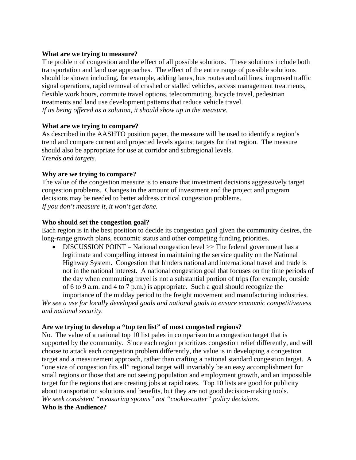#### **What are we trying to measure?**

The problem of congestion and the effect of all possible solutions. These solutions include both transportation and land use approaches. The effect of the entire range of possible solutions should be shown including, for example, adding lanes, bus routes and rail lines, improved traffic signal operations, rapid removal of crashed or stalled vehicles, access management treatments, flexible work hours, commute travel options, telecommuting, bicycle travel, pedestrian treatments and land use development patterns that reduce vehicle travel. *If its being offered as a solution, it should show up in the measure.* 

## **What are we trying to compare?**

As described in the AASHTO position paper, the measure will be used to identify a region's trend and compare current and projected levels against targets for that region. The measure should also be appropriate for use at corridor and subregional levels. *Trends and targets.* 

## **Why are we trying to compare?**

The value of the congestion measure is to ensure that investment decisions aggressively target congestion problems. Changes in the amount of investment and the project and program decisions may be needed to better address critical congestion problems. *If you don't measure it, it won't get done.*

#### **Who should set the congestion goal?**

Each region is in the best position to decide its congestion goal given the community desires, the long-range growth plans, economic status and other competing funding priorities.

• DISCUSSION POINT – National congestion level >> The federal government has a legitimate and compelling interest in maintaining the service quality on the National Highway System. Congestion that hinders national and international travel and trade is not in the national interest. A national congestion goal that focuses on the time periods of the day when commuting travel is not a substantial portion of trips (for example, outside of 6 to 9 a.m. and 4 to 7 p.m.) is appropriate. Such a goal should recognize the

importance of the midday period to the freight movement and manufacturing industries. *We see a use for locally developed goals and national goals to ensure economic competitiveness and national security.* 

#### **Are we trying to develop a "top ten list" of most congested regions?**

No. The value of a national top 10 list pales in comparison to a congestion target that is supported by the community. Since each region prioritizes congestion relief differently, and will choose to attack each congestion problem differently, the value is in developing a congestion target and a measurement approach, rather than crafting a national standard congestion target. A "one size of congestion fits all" regional target will invariably be an easy accomplishment for small regions or those that are not seeing population and employment growth, and an impossible target for the regions that are creating jobs at rapid rates. Top 10 lists are good for publicity about transportation solutions and benefits, but they are not good decision-making tools. *We seek consistent "measuring spoons" not "cookie-cutter" policy decisions.* 

## **Who is the Audience?**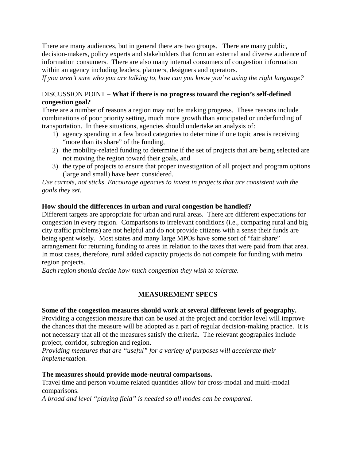There are many audiences, but in general there are two groups. There are many public, decision-makers, policy experts and stakeholders that form an external and diverse audience of information consumers. There are also many internal consumers of congestion information within an agency including leaders, planners, designers and operators.

*If you aren't sure who you are talking to, how can you know you're using the right language?* 

## DISCUSSION POINT – **What if there is no progress toward the region's self-defined congestion goal?**

There are a number of reasons a region may not be making progress. These reasons include combinations of poor priority setting, much more growth than anticipated or underfunding of transportation. In these situations, agencies should undertake an analysis of:

- 1) agency spending in a few broad categories to determine if one topic area is receiving "more than its share" of the funding,
- 2) the mobility-related funding to determine if the set of projects that are being selected are not moving the region toward their goals, and
- 3) the type of projects to ensure that proper investigation of all project and program options (large and small) have been considered.

*Use carrots, not sticks. Encourage agencies to invest in projects that are consistent with the goals they set.* 

## **How should the differences in urban and rural congestion be handled?**

Different targets are appropriate for urban and rural areas. There are different expectations for congestion in every region. Comparisons to irrelevant conditions (i.e., comparing rural and big city traffic problems) are not helpful and do not provide citizens with a sense their funds are being spent wisely. Most states and many large MPOs have some sort of "fair share" arrangement for returning funding to areas in relation to the taxes that were paid from that area. In most cases, therefore, rural added capacity projects do not compete for funding with metro region projects.

*Each region should decide how much congestion they wish to tolerate.* 

## **MEASUREMENT SPECS**

#### **Some of the congestion measures should work at several different levels of geography.**

Providing a congestion measure that can be used at the project and corridor level will improve the chances that the measure will be adopted as a part of regular decision-making practice. It is not necessary that all of the measures satisfy the criteria. The relevant geographies include project, corridor, subregion and region.

*Providing measures that are "useful" for a variety of purposes will accelerate their implementation.* 

#### **The measures should provide mode-neutral comparisons.**

Travel time and person volume related quantities allow for cross-modal and multi-modal comparisons.

*A broad and level "playing field" is needed so all modes can be compared.*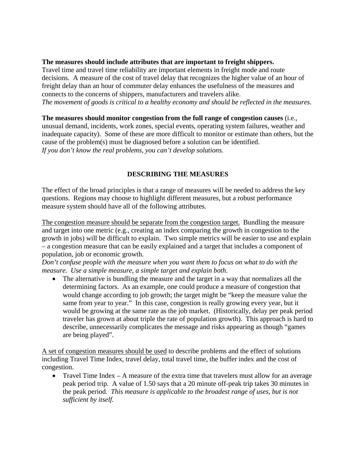## **The measures should include attributes that are important to freight shippers.**

Travel time and travel time reliability are important elements in freight mode and route decisions. A measure of the cost of travel delay that recognizes the higher value of an hour of freight delay than an hour of commuter delay enhances the usefulness of the measures and connects to the concerns of shippers, manufacturers and travelers alike. *The movement of goods is critical to a healthy economy and should be reflected in the measures.* 

**The measures should monitor congestion from the full range of congestion causes** (i.e., unusual demand, incidents, work zones, special events, operating system failures, weather and inadequate capacity). Some of these are more difficult to monitor or estimate than others, but the cause of the problem(s) must be diagnosed before a solution can be identified. *If you don't know the real problems, you can't develop solutions.* 

## **DESCRIBING THE MEASURES**

The effect of the broad principles is that a range of measures will be needed to address the key questions. Regions may choose to highlight different measures, but a robust performance measure system should have all of the following attributes.

The congestion measure should be separate from the congestion target. Bundling the measure and target into one metric (e.g., creating an index comparing the growth in congestion to the growth in jobs) will be difficult to explain. Two simple metrics will be easier to use and explain – a congestion measure that can be easily explained and a target that includes a component of population, job or economic growth.

*Don't confuse people with the measure when you want them to focus on what to do with the measure. Use a simple measure, a simple target and explain both.* 

• The alternative is bundling the measure and the target in a way that normalizes all the determining factors. As an example, one could produce a measure of congestion that would change according to job growth; the target might be "keep the measure value the same from year to year." In this case, congestion is really growing every year, but it would be growing at the same rate as the job market. (Historically, delay per peak period traveler has grown at about triple the rate of population growth). This approach is hard to describe, unnecessarily complicates the message and risks appearing as though "games are being played".

A set of congestion measures should be used to describe problems and the effect of solutions including Travel Time Index, travel delay, total travel time, the buffer index and the cost of congestion.

• Travel Time Index – A measure of the extra time that travelers must allow for an average peak period trip. A value of 1.50 says that a 20 minute off-peak trip takes 30 minutes in the peak period. *This measure is applicable to the broadest range of uses, but is not sufficient by itself.*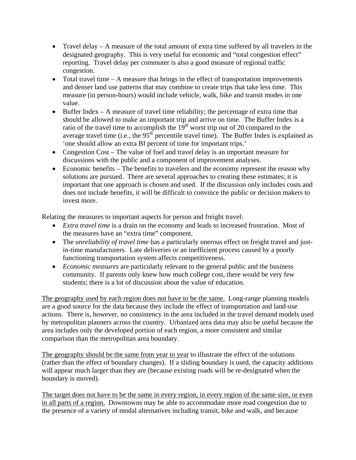- Travel delay A measure of the total amount of extra time suffered by all travelers in the designated geography. This is very useful for economic and "total congestion effect" reporting. Travel delay per commuter is also a good measure of regional traffic congestion.
- Total travel time  $A$  measure that brings in the effect of transportation improvements and denser land use patterns that may combine to create trips that take less time. This measure (in person-hours) would include vehicle, walk, bike and transit modes in one value.
- Buffer Index A measure of travel time reliability; the percentage of extra time that should be allowed to make an important trip and arrive on time. The Buffer Index is a ratio of the travel time to accomplish the  $19<sup>th</sup>$  worst trip out of 20 compared to the average travel time (i.e., the 95<sup>th</sup> percentile travel time). The Buffer Index is explained as 'one should allow an extra BI percent of time for important trips.'
- Congestion Cost The value of fuel and travel delay is an important measure for discussions with the public and a component of improvement analyses.
- Economic benefits The benefits to travelers and the economy represent the reason why solutions are pursued. There are several approaches to creating these estimates; it is important that one approach is chosen and used. If the discussion only includes costs and does not include benefits, it will be difficult to convince the public or decision makers to invest more.

Relating the measures to important aspects for person and freight travel:

- *Extra travel time* is a drain on the economy and leads to increased frustration. Most of the measures have an "extra time" component.
- The *unreliability of travel time* has a particularly onerous effect on freight travel and justin-time manufacturers. Late deliveries or an inefficient process caused by a poorly functioning transportation system affects competitiveness.
- *Economic measures* are particularly relevant to the general public and the business community. If parents only knew how much college cost, there would be very few students; there is a lot of discussion about the value of education.

The geography used by each region does not have to be the same. Long-range planning models are a good source for the data because they include the effect of transportation and land-use actions. There is, however, no consistency in the area included in the travel demand models used by metropolitan planners across the country. Urbanized area data may also be useful because the area includes only the developed portion of each region, a more consistent and similar comparison than the metropolitan area boundary.

The geography should be the same from year to year to illustrate the effect of the solutions (rather than the effect of boundary changes). If a sliding boundary is used, the capacity additions will appear much larger than they are (because existing roads will be re-designated when the boundary is moved).

The target does not have to be the same in every region, in every region of the same size, or even in all parts of a region. Downtowns may be able to accommodate more road congestion due to the presence of a variety of modal alternatives including transit, bike and walk, and because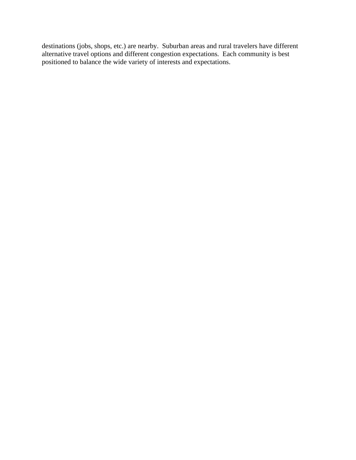destinations (jobs, shops, etc.) are nearby. Suburban areas and rural travelers have different alternative travel options and different congestion expectations. Each community is best positioned to balance the wide variety of interests and expectations.